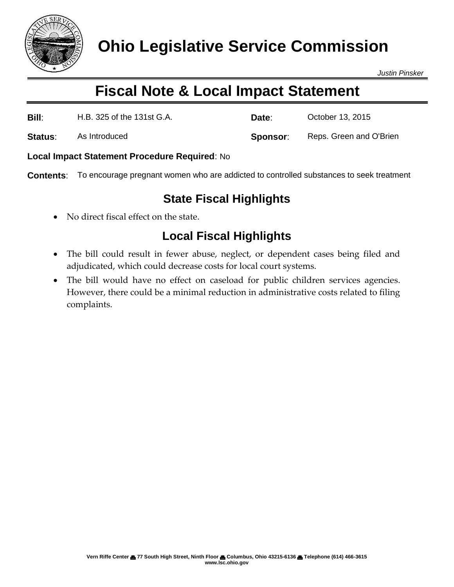

*Justin Pinsker*

# **Fiscal Note & Local Impact Statement**

| Bill:   | H.B. 325 of the 131st G.A. | Date:    | October 13, 2015        |
|---------|----------------------------|----------|-------------------------|
| Status: | As Introduced              | Sponsor: | Reps. Green and O'Brien |

#### **Local Impact Statement Procedure Required**: No

**Contents**: To encourage pregnant women who are addicted to controlled substances to seek treatment

### **State Fiscal Highlights**

• No direct fiscal effect on the state.

## **Local Fiscal Highlights**

- The bill could result in fewer abuse, neglect, or dependent cases being filed and adjudicated, which could decrease costs for local court systems.
- The bill would have no effect on caseload for public children services agencies. However, there could be a minimal reduction in administrative costs related to filing complaints.